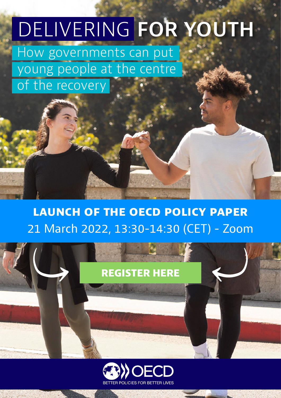# DELIVERING **FOR YOUTH**

How governments can put young people at the centre of the recovery

### **launch of the oecd policy paper** 21 March 2022, 13:30-14:30 (CET) - Zoom